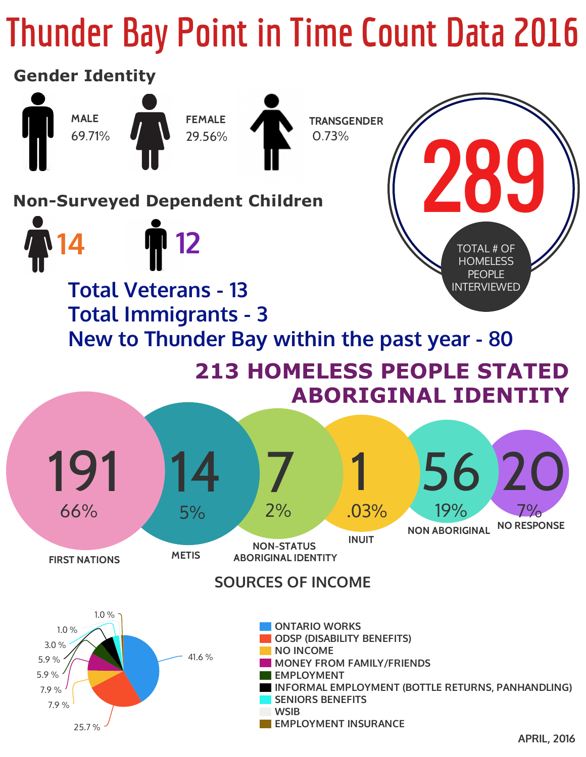## **Thunder Bay Point in Time Count Data 2016**